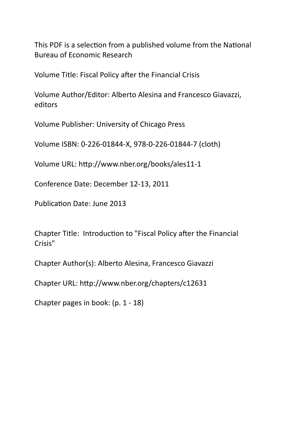This PDF is a selection from a published volume from the National Bureau of Economic Research

Volume Title: Fiscal Policy after the Financial Crisis

Volume Author/Editor: Alberto Alesina and Francesco Giavazzi, editors

Volume Publisher: University of Chicago Press

Volume ISBN: 0-226-01844-X, 978‐0‐226‐01844‐7 (cloth)

Volume URL: http://www.nber.org/books/ales11-1

Conference Date: December 12‐13, 2011

Publication Date: June 2013

Chapter Title: Introduction to "Fiscal Policy after the Financial Crisis"

Chapter Author(s): Alberto Alesina, Francesco Giavazzi

Chapter URL: hƩp://www.nber.org/chapters/c12631

Chapter pages in book: (p. 1 ‐ 18)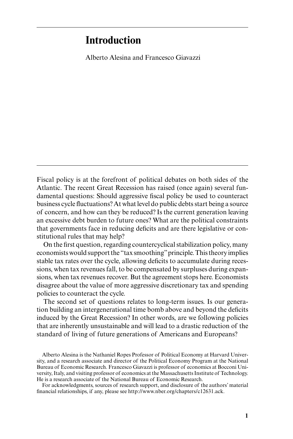# **Introduction**

Alberto Alesina and Francesco Giavazzi

Fiscal policy is at the forefront of political debates on both sides of the Atlantic. The recent Great Recession has raised (once again) several fundamental questions: Should aggressive fiscal policy be used to counteract business cycle fluctuations? At what level do public debts start being a source of concern, and how can they be reduced? Is the current generation leaving an excessive debt burden to future ones? What are the political constraints that governments face in reducing deficits and are there legislative or constitutional rules that may help?

On the first question, regarding countercyclical stabilization policy, many economists would support the "tax smoothing" principle. This theory implies stable tax rates over the cycle, allowing deficits to accumulate during recessions, when tax revenues fall, to be compensated by surpluses during expansions, when tax revenues recover. But the agreement stops here. Economists disagree about the value of more aggressive discretionary tax and spending policies to counteract the cycle.

The second set of questions relates to long-term issues. Is our generation building an intergenerational time bomb above and beyond the deficits induced by the Great Recession? In other words, are we following policies that are inherently unsustainable and will lead to a drastic reduction of the standard of living of future generations of Americans and Europeans?

Alberto Alesina is the Nathaniel Ropes Professor of Political Economy at Harvard University, and a research associate and director of the Political Economy Program at the National Bureau of Economic Research. Francesco Giavazzi is professor of economics at Bocconi University, Italy, and visiting professor of economics at the Massachusetts Institute of Technology. He is a research associate of the National Bureau of Economic Research.

For acknowledgments, sources of research support, and disclosure of the authors' material financial relationships, if any, please see http://www.nber.org/chapters/c12631.ack.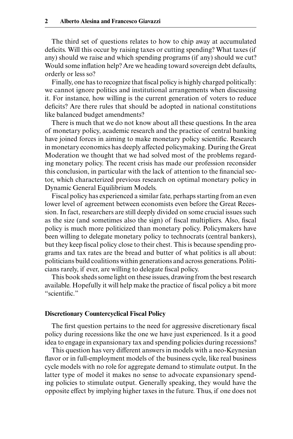The third set of questions relates to how to chip away at accumulated deficits. Will this occur by raising taxes or cutting spending? What taxes (if any) should we raise and which spending programs (if any) should we cut? Would some inflation help? Are we heading toward sovereign debt defaults, orderly or less so?

Finally, one has to recognize that fiscal policy is highly charged politically: we cannot ignore politics and institutional arrangements when discussing it. For instance, how willing is the current generation of voters to reduce deficits? Are there rules that should be adopted in national constitutions like balanced budget amendments?

There is much that we do not know about all these questions. In the area of monetary policy, academic research and the practice of central banking have joined forces in aiming to make monetary policy scientific. Research in monetary economics has deeply affected policymaking. During the Great Moderation we thought that we had solved most of the problems regarding monetary policy. The recent crisis has made our profession reconsider this conclusion, in particular with the lack of attention to the financial sector, which characterized previous research on optimal monetary policy in Dynamic General Equilibrium Models.

Fiscal policy has experienced a similar fate, perhaps starting from an even lower level of agreement between economists even before the Great Recession. In fact, researchers are still deeply divided on some crucial issues such as the size (and sometimes also the sign) of fiscal multipliers. Also, fiscal policy is much more politicized than monetary policy. Policymakers have been willing to delegate monetary policy to technocrats (central bankers), but they keep fiscal policy close to their chest. This is because spending programs and tax rates are the bread and butter of what politics is all about: politicians build coalitions within generations and across generations. Politicians rarely, if ever, are willing to delegate fiscal policy.

This book sheds some light on these issues, drawing from the best research available. Hopefully it will help make the practice of fiscal policy a bit more "scientific."

## **Discretionary Countercyclical Fiscal Policy**

The first question pertains to the need for aggressive discretionary fiscal policy during recessions like the one we have just experienced. Is it a good idea to engage in expansionary tax and spending policies during recessions?

This question has very different answers in models with a neo- Keynesian flavor or in full-employment models of the business cycle, like real business cycle models with no role for aggregate demand to stimulate output. In the latter type of model it makes no sense to advocate expansionary spending policies to stimulate output. Generally speaking, they would have the opposite effect by implying higher taxes in the future. Thus, if one does not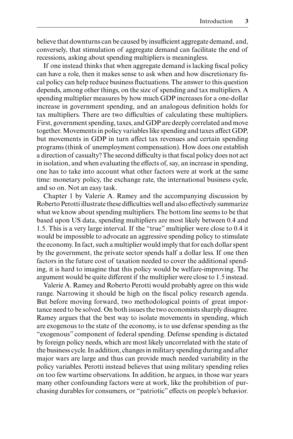believe that downturns can be caused by insufficient aggregate demand, and, conversely, that stimulation of aggregate demand can facilitate the end of recessions, asking about spending multipliers is meaningless.

If one instead thinks that when aggregate demand is lacking fiscal policy can have a role, then it makes sense to ask when and how discretionary fiscal policy can help reduce business fluctuations. The answer to this question depends, among other things, on the size of spending and tax multipliers. A spending multiplier measures by how much GDP increases for a one- dollar increase in government spending, and an analogous definition holds for tax multipliers. There are two difficulties of calculating these multipliers. First, government spending, taxes, and GDP are deeply correlated and move together. Movements in policy variables like spending and taxes affect GDP, but movements in GDP in turn affect tax revenues and certain spending programs (think of unemployment compensation). How does one establish a direction of casualty? The second difficulty is that fiscal policy does not act in isolation, and when evaluating the effects of, say, an increase in spending, one has to take into account what other factors were at work at the same time: monetary policy, the exchange rate, the international business cycle, and so on. Not an easy task.

Chapter 1 by Valerie A. Ramey and the accompanying discussion by Roberto Perotti illustrate these difficulties well and also effectively summarize what we know about spending multipliers. The bottom line seems to be that based upon US data, spending multipliers are most likely between 0.4 and 1.5. This is a very large interval. If the "true" multiplier were close to 0.4 it would be impossible to advocate an aggressive spending policy to stimulate the economy. In fact, such a multiplier would imply that for each dollar spent by the government, the private sector spends half a dollar less. If one then factors in the future cost of taxation needed to cover the additional spending, it is hard to imagine that this policy would be welfare- improving. The argument would be quite different if the multiplier were close to 1.5 instead.

Valerie A. Ramey and Roberto Perotti would probably agree on this wide range. Narrowing it should be high on the fiscal policy research agenda. But before moving forward, two methodological points of great importance need to be solved. On both issues the two economists sharply disagree. Ramey argues that the best way to isolate movements in spending, which are exogenous to the state of the economy, is to use defense spending as the "exogenous" component of federal spending. Defense spending is dictated by foreign policy needs, which are most likely uncorrelated with the state of the business cycle. In addition, changes in military spending during and after major wars are large and thus can provide much needed variability in the policy variables. Perotti instead believes that using military spending relies on too few wartime observations. In addition, he argues, in those war years many other confounding factors were at work, like the prohibition of purchasing durables for consumers, or "patriotic" effects on people's behavior.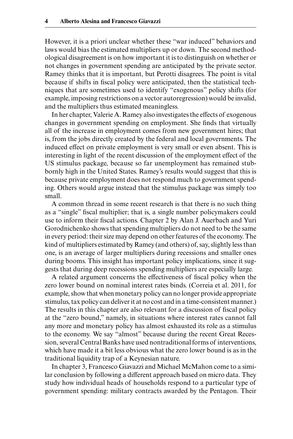However, it is a priori unclear whether these "war induced" behaviors and laws would bias the estimated multipliers up or down. The second methodological disagreement is on how important it is to distinguish on whether or not changes in government spending are anticipated by the private sector. Ramey thinks that it is important, but Perotti disagrees. The point is vital because if shifts in fiscal policy were anticipated, then the statistical techniques that are sometimes used to identify "exogenous" policy shifts (for example, imposing restrictions on a vector autoregression) would be invalid, and the multipliers thus estimated meaningless.

In her chapter, Valerie A. Ramey also investigates the effects of exogenous changes in government spending on employment. She finds that virtually all of the increase in employment comes from new government hires; that is, from the jobs directly created by the federal and local governments. The induced effect on private employment is very small or even absent. This is interesting in light of the recent discussion of the employment effect of the US stimulus package, because so far unemployment has remained stubbornly high in the United States. Ramey's results would suggest that this is because private employment does not respond much to government spending. Others would argue instead that the stimulus package was simply too small.

A common thread in some recent research is that there is no such thing as a "single" fiscal multiplier; that is, a single number policymakers could use to inform their fiscal actions. Chapter 2 by Alan J. Auerbach and Yuri Gorodnichenko shows that spending multipliers do not need to be the same in every period: their size may depend on other features of the economy. The kind of multipliers estimated by Ramey (and others) of, say, slightly less than one, is an average of larger multipliers during recessions and smaller ones during booms. This insight has important policy implications, since it suggests that during deep recessions spending multipliers are especially large.

A related argument concerns the effectiveness of fiscal policy when the zero lower bound on nominal interest rates binds. (Correia et al. 2011, for example, show that when monetary policy can no longer provide appropriate stimulus, tax policy can deliver it at no cost and in a time- consistent manner.) The results in this chapter are also relevant for a discussion of fiscal policy at the "zero bound," namely, in situations where interest rates cannot fall any more and monetary policy has almost exhausted its role as a stimulus to the economy. We say "almost" because during the recent Great Recession, several Central Banks have used nontraditional forms of interventions, which have made it a bit less obvious what the zero lower bound is as in the traditional liquidity trap of a Keynesian nature.

In chapter 3, Francesco Giavazzi and Michael McMahon come to a similar conclusion by following a different approach based on micro data. They study how individual heads of households respond to a particular type of government spending: military contracts awarded by the Pentagon. Their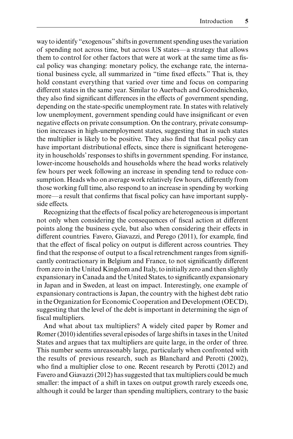way to identify "exogenous" shifts in government spending uses the variation of spending not across time, but across US states—a strategy that allows them to control for other factors that were at work at the same time as fiscal policy was changing: monetary policy, the exchange rate, the international business cycle, all summarized in "time fixed effects." That is, they hold constant everything that varied over time and focus on comparing different states in the same year. Similar to Auerbach and Gorodnichenko, they also find significant differences in the effects of government spending, depending on the state-specific unemployment rate. In states with relatively low unemployment, government spending could have insignificant or even negative effects on private consumption. On the contrary, private consumption increases in high-unemployment states, suggesting that in such states the multiplier is likely to be positive. They also find that fiscal policy can have important distributional effects, since there is significant heterogeneity in households' responses to shifts in government spending. For instance, lower- income households and households where the head works relatively few hours per week following an increase in spending tend to reduce consumption. Heads who on average work relatively few hours, differently from those working full time, also respond to an increase in spending by working more—a result that confirms that fiscal policy can have important supplyside effects.

Recognizing that the effects of fiscal policy are heterogeneous is important not only when considering the consequences of fiscal action at different points along the business cycle, but also when considering their effects in different countries. Favero, Giavazzi, and Perego (2011), for example, find that the effect of fiscal policy on output is different across countries. They find that the response of output to a fiscal retrenchment ranges from significantly contractionary in Belgium and France, to not significantly different from zero in the United Kingdom and Italy, to initially zero and then slightly expansionary in Canada and the United States, to significantly expansionary in Japan and in Sweden, at least on impact. Interestingly, one example of expansionary contractions is Japan, the country with the highest debt ratio in the Organization for Economic Cooperation and Development (OECD), suggesting that the level of the debt is important in determining the sign of fiscal multipliers.

And what about tax multipliers? A widely cited paper by Romer and Romer (2010) identifies several episodes of large shifts in taxes in the United States and argues that tax multipliers are quite large, in the order of three. This number seems unreasonably large, particularly when confronted with the results of previous research, such as Blanchard and Perotti (2002), who find a multiplier close to one. Recent research by Perotti (2012) and Favero and Giavazzi (2012) has suggested that tax multipliers could be much smaller: the impact of a shift in taxes on output growth rarely exceeds one, although it could be larger than spending multipliers, contrary to the basic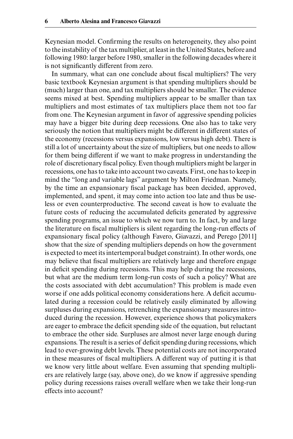Keynesian model. Confirming the results on heterogeneity, they also point to the instability of the tax multiplier, at least in the United States, before and following 1980: larger before 1980, smaller in the following decades where it is not significantly different from zero.

In summary, what can one conclude about fiscal multipliers? The very basic textbook Keynesian argument is that spending multipliers should be (much) larger than one, and tax multipliers should be smaller. The evidence seems mixed at best. Spending multipliers appear to be smaller than tax multipliers and most estimates of tax multipliers place them not too far from one. The Keynesian argument in favor of aggressive spending policies may have a bigger bite during deep recessions. One also has to take very seriously the notion that multipliers might be different in different states of the economy (recessions versus expansions, low versus high debt). There is still a lot of uncertainty about the size of multipliers, but one needs to allow for them being different if we want to make progress in understanding the role of discretionary fiscal policy. Even though multipliers might be larger in recessions, one has to take into account two caveats. First, one has to keep in mind the "long and variable lags" argument by Milton Friedman. Namely, by the time an expansionary fiscal package has been decided, approved, implemented, and spent, it may come into action too late and thus be useless or even counterproductive. The second caveat is how to evaluate the future costs of reducing the accumulated deficits generated by aggressive spending programs, an issue to which we now turn to. In fact, by and large the literature on fiscal multipliers is silent regarding the long-run effects of expansionary fiscal policy (although Favero, Giavazzi, and Perego [2011] show that the size of spending multipliers depends on how the government is expected to meet its intertemporal budget constraint). In other words, one may believe that fiscal multipliers are relatively large and therefore engage in deficit spending during recessions. This may help during the recessions, but what are the medium term long-run costs of such a policy? What are the costs associated with debt accumulation? This problem is made even worse if one adds political economy considerations here. A deficit accumulated during a recession could be relatively easily eliminated by allowing surpluses during expansions, retrenching the expansionary measures introduced during the recession. However, experience shows that policymakers are eager to embrace the deficit spending side of the equation, but reluctant to embrace the other side. Surpluses are almost never large enough during expansions. The result is a series of deficit spending during recessions, which lead to ever-growing debt levels. These potential costs are not incorporated in these measures of fiscal multipliers. A different way of putting it is that we know very little about welfare. Even assuming that spending multipliers are relatively large (say, above one), do we know if aggressive spending policy during recessions raises overall welfare when we take their long-run effects into account?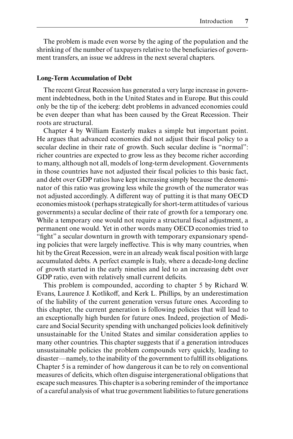The problem is made even worse by the aging of the population and the shrinking of the number of taxpayers relative to the beneficiaries of government transfers, an issue we address in the next several chapters.

#### **Long- Term Accumulation of Debt**

The recent Great Recession has generated a very large increase in government indebtedness, both in the United States and in Europe. But this could only be the tip of the iceberg: debt problems in advanced economies could be even deeper than what has been caused by the Great Recession. Their roots are structural.

Chapter 4 by William Easterly makes a simple but important point. He argues that advanced economies did not adjust their fiscal policy to a secular decline in their rate of growth. Such secular decline is "normal": richer countries are expected to grow less as they become richer according to many, although not all, models of long- term development. Governments in those countries have not adjusted their fiscal policies to this basic fact, and debt over GDP ratios have kept increasing simply because the denominator of this ratio was growing less while the growth of the numerator was not adjusted accordingly. A different way of putting it is that many OECD economies mistook (perhaps strategically for short- term attitudes of various governments) a secular decline of their rate of growth for a temporary one. While a temporary one would not require a structural fiscal adjustment, a permanent one would. Yet in other words many OECD economies tried to "fight" a secular downturn in growth with temporary expansionary spending policies that were largely ineffective. This is why many countries, when hit by the Great Recession, were in an already weak fiscal position with large accumulated debts. A perfect example is Italy, where a decade-long decline of growth started in the early nineties and led to an increasing debt over GDP ratio, even with relatively small current deficits.

This problem is compounded, according to chapter 5 by Richard W. Evans, Laurence J. Kotlikoff, and Kerk L. Phillips, by an underestimation of the liability of the current generation versus future ones. According to this chapter, the current generation is following policies that will lead to an exceptionally high burden for future ones. Indeed, projection of Medicare and Social Security spending with unchanged policies look definitively unsustainable for the United States and similar consideration applies to many other countries. This chapter suggests that if a generation introduces unsustainable policies the problem compounds very quickly, leading to disaster—namely, to the inability of the government to fulfill its obligations. Chapter 5 is a reminder of how dangerous it can be to rely on conventional measures of deficits, which often disguise intergenerational obligations that escape such measures. This chapter is a sobering reminder of the importance of a careful analysis of what true government liabilities to future generations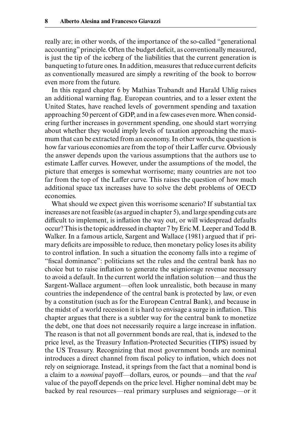really are; in other words, of the importance of the so-called "generational accounting" principle. Often the budget deficit, as conventionally measured, is just the tip of the iceberg of the liabilities that the current generation is banqueting to future ones. In addition, measures that reduce current deficits as conventionally measured are simply a rewriting of the book to borrow even more from the future.

In this regard chapter 6 by Mathias Trabandt and Harald Uhlig raises an additional warning flag. European countries, and to a lesser extent the United States, have reached levels of government spending and taxation approaching 50 percent of GDP, and in a few cases even more. When considering further increases in government spending, one should start worrying about whether they would imply levels of taxation approaching the maximum that can be extracted from an economy. In other words, the question is how far various economies are from the top of their Laffer curve. Obviously the answer depends upon the various assumptions that the authors use to estimate Laffer curves. However, under the assumptions of the model, the picture that emerges is somewhat worrisome; many countries are not too far from the top of the Laffer curve. This raises the question of how much additional space tax increases have to solve the debt problems of OECD economies.

What should we expect given this worrisome scenario? If substantial tax increases are not feasible (as argued in chapter 5), and large spending cuts are difficult to implement, is inflation the way out, or will widespread defaults occur? This is the topic addressed in chapter 7 by Eric M. Leeper and Todd B. Walker. In a famous article, Sargent and Wallace (1981) argued that if primary deficits are impossible to reduce, then monetary policy loses its ability to control inflation. In such a situation the economy falls into a regime of "fiscal dominance": politicians set the rules and the central bank has no choice but to raise inflation to generate the seigniorage revenue necessary to avoid a default. In the current world the inflation solution—and thus the Sargent- Wallace argument—often look unrealistic, both because in many countries the independence of the central bank is protected by law, or even by a constitution (such as for the European Central Bank), and because in the midst of a world recession it is hard to envisage a surge in inflation. This chapter argues that there is a subtler way for the central bank to monetize the debt, one that does not necessarily require a large increase in inflation. The reason is that not all government bonds are real, that is, indexed to the price level, as the Treasury Inflation-Protected Securities (TIPS) issued by the US Treasury. Recognizing that most government bonds are nominal introduces a direct channel from fiscal policy to inflation, which does not rely on seigniorage. Instead, it springs from the fact that a nominal bond is a claim to a *nominal* payoff—dollars, euros, or pounds—and that the *real* value of the payoff depends on the price level. Higher nominal debt may be backed by real resources—real primary surpluses and seigniorage—or it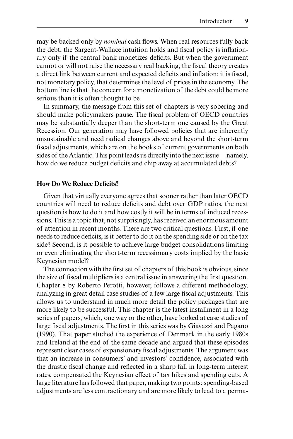may be backed only by *nominal* cash flows. When real resources fully back the debt, the Sargent-Wallace intuition holds and fiscal policy is inflationary only if the central bank monetizes deficits. But when the government cannot or will not raise the necessary real backing, the fiscal theory creates a direct link between current and expected deficits and inflation: it is fiscal, not monetary policy, that determines the level of prices in the economy. The bottom line is that the concern for a monetization of the debt could be more serious than it is often thought to be.

In summary, the message from this set of chapters is very sobering and should make policymakers pause. The fiscal problem of OECD countries may be substantially deeper than the short- term one caused by the Great Recession. Our generation may have followed policies that are inherently unsustainable and need radical changes above and beyond the short- term fiscal adjustments, which are on the books of current governments on both sides of the Atlantic. This point leads us directly into the next issue—namely, how do we reduce budget deficits and chip away at accumulated debts?

### **How Do We Reduce Deficits?**

Given that virtually everyone agrees that sooner rather than later OECD countries will need to reduce deficits and debt over GDP ratios, the next question is how to do it and how costly it will be in terms of induced recessions. This is a topic that, not surprisingly, has received an enormous amount of attention in recent months. There are two critical questions. First, if one needs to reduce deficits, is it better to do it on the spending side or on the tax side? Second, is it possible to achieve large budget consolidations limiting or even eliminating the short- term recessionary costs implied by the basic Keynesian model?

The connection with the first set of chapters of this book is obvious, since the size of fiscal multipliers is a central issue in answering the first question. Chapter 8 by Roberto Perotti, however, follows a different methodology, analyzing in great detail case studies of a few large fiscal adjustments. This allows us to understand in much more detail the policy packages that are more likely to be successful. This chapter is the latest installment in a long series of papers, which, one way or the other, have looked at case studies of large fiscal adjustments. The first in this series was by Giavazzi and Pagano (1990). That paper studied the experience of Denmark in the early 1980s and Ireland at the end of the same decade and argued that these episodes represent clear cases of expansionary fiscal adjustments. The argument was that an increase in consumers' and investors' confidence, associated with the drastic fiscal change and reflected in a sharp fall in long-term interest rates, compensated the Keynesian effect of tax hikes and spending cuts. A large literature has followed that paper, making two points: spending- based adjustments are less contractionary and are more likely to lead to a perma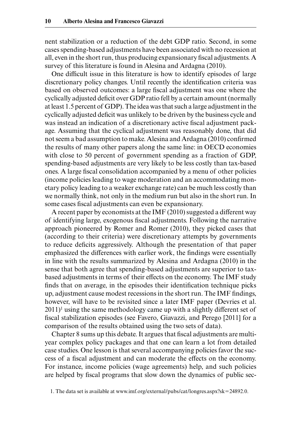nent stabilization or a reduction of the debt GDP ratio. Second, in some cases spending- based adjustments have been associated with no recession at all, even in the short run, thus producing expansionary fiscal adjustments. A survey of this literature is found in Alesina and Ardagna (2010).

One difficult issue in this literature is how to identify episodes of large discretionary policy changes. Until recently the identification criteria was based on observed outcomes: a large fiscal adjustment was one where the cyclically adjusted deficit over GDP ratio fell by a certain amount (normally at least 1.5 percent of GDP). The idea was that such a large adjustment in the cyclically adjusted deficit was unlikely to be driven by the business cycle and was instead an indication of a discretionary active fiscal adjustment package. Assuming that the cyclical adjustment was reasonably done, that did not seem a bad assumption to make. Alesina and Ardagna (2010) confirmed the results of many other papers along the same line: in OECD economies with close to 50 percent of government spending as a fraction of GDP, spending-based adjustments are very likely to be less costly than tax-based ones. A large fiscal consolidation accompanied by a menu of other policies (income policies leading to wage moderation and an accommodating monetary policy leading to a weaker exchange rate) can be much less costly than we normally think, not only in the medium run but also in the short run. In some cases fiscal adjustments can even be expansionary.

A recent paper by economists at the IMF (2010) suggested a different way of identifying large, exogenous fiscal adjustments. Following the narrative approach pioneered by Romer and Romer (2010), they picked cases that (according to their criteria) were discretionary attempts by governments to reduce deficits aggressively. Although the presentation of that paper emphasized the differences with earlier work, the findings were essentially in line with the results summarized by Alesina and Ardagna (2010) in the sense that both agree that spending- based adjustments are superior to taxbased adjustments in terms of their effects on the economy. The IMF study finds that on average, in the episodes their identification technique picks up, adjustment cause modest recessions in the short run. The IMF findings, however, will have to be revisited since a later IMF paper (Devries et al. 2011)<sup>1</sup> using the same methodology came up with a slightly different set of fiscal stabilization episodes (see Favero, Giavazzi, and Perego [2011] for a comparison of the results obtained using the two sets of data).

Chapter 8 sums up this debate. It argues that fiscal adjustments are multiyear complex policy packages and that one can learn a lot from detailed case studies. One lesson is that several accompanying policies favor the success of a fiscal adjustment and can moderate the effects on the economy. For instance, income policies (wage agreements) help, and such policies are helped by fiscal programs that slow down the dynamics of public sec-

<sup>1.</sup> The data set is available at www.imf.org/external/pubs/cat/longres.aspx?sk=24892.0.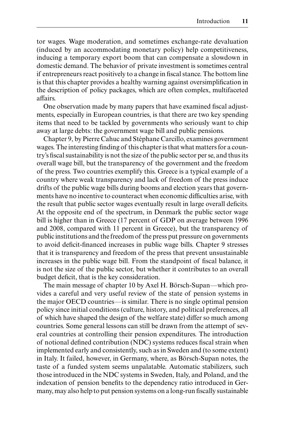tor wages. Wage moderation, and sometimes exchange- rate devaluation (induced by an accommodating monetary policy) help competitiveness, inducing a temporary export boom that can compensate a slowdown in domestic demand. The behavior of private investment is sometimes central if entrepreneurs react positively to a change in fiscal stance. The bottom line is that this chapter provides a healthy warning against oversimplification in the description of policy packages, which are often complex, multifaceted affairs.

One observation made by many papers that have examined fiscal adjustments, especially in European countries, is that there are two key spending items that need to be tackled by governments who seriously want to chip away at large debts: the government wage bill and public pensions.

Chapter 9, by Pierre Cahuc and Stéphane Carcillo, examines government wages. The interesting finding of this chapter is that what matters for a country's fiscal sustainability is not the size of the public sector per se, and thus its overall wage bill, but the transparency of the government and the freedom of the press. Two countries exemplify this. Greece is a typical example of a country where weak transparency and lack of freedom of the press induce drifts of the public wage bills during booms and election years that governments have no incentive to counteract when economic difficulties arise, with the result that public sector wages eventually result in large overall deficits. At the opposite end of the spectrum, in Denmark the public sector wage bill is higher than in Greece (17 percent of GDP on average between 1996 and 2008, compared with 11 percent in Greece), but the transparency of public institutions and the freedom of the press put pressure on governments to avoid deficit-financed increases in public wage bills. Chapter 9 stresses that it is transparency and freedom of the press that prevent unsustainable increases in the public wage bill. From the standpoint of fiscal balance, it is not the size of the public sector, but whether it contributes to an overall budget deficit, that is the key consideration.

The main message of chapter 10 by Axel H. Börsch-Supan—which provides a careful and very useful review of the state of pension systems in the major OECD countries—is similar. There is no single optimal pension policy since initial conditions (culture, history, and political preferences, all of which have shaped the design of the welfare state) differ so much among countries. Some general lessons can still be drawn from the attempt of several countries at controlling their pension expenditures. The introduction of notional defined contribution (NDC) systems reduces fiscal strain when implemented early and consistently, such as in Sweden and (to some extent) in Italy. It failed, however, in Germany, where, as Börsch- Supan notes, the taste of a funded system seems unpalatable. Automatic stabilizers, such those introduced in the NDC systems in Sweden, Italy, and Poland, and the indexation of pension benefits to the dependency ratio introduced in Germany, may also help to put pension systems on a long-run fiscally sustainable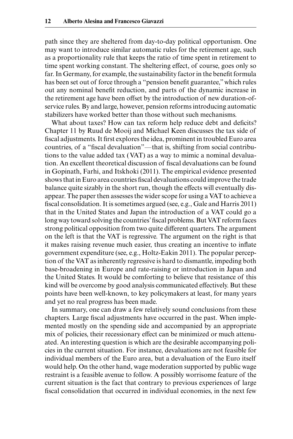path since they are sheltered from day-to-day political opportunism. One may want to introduce similar automatic rules for the retirement age, such as a proportionality rule that keeps the ratio of time spent in retirement to time spent working constant. The sheltering effect, of course, goes only so far. In Germany, for example, the sustainability factor in the benefit formula has been set out of force through a "pension benefit guarantee," which rules out any nominal benefit reduction, and parts of the dynamic increase in the retirement age have been offset by the introduction of new duration-ofservice rules. By and large, however, pension reforms introducing automatic stabilizers have worked better than those without such mechanisms.

What about taxes? How can tax reform help reduce debt and deficits? Chapter 11 by Ruud de Mooij and Michael Keen discusses the tax side of fiscal adjustments. It first explores the idea, prominent in troubled Euro area countries, of a "fiscal devaluation"—that is, shifting from social contributions to the value added tax (VAT) as a way to mimic a nominal devaluation. An excellent theoretical discussion of fiscal devaluations can be found in Gopinath, Farhi, and Itskhoki (2011). The empirical evidence presented shows that in Euro area countries fiscal devaluations could improve the trade balance quite sizably in the short run, though the effects will eventually disappear. The paper then assesses the wider scope for using a VAT to achieve a fiscal consolidation. It is sometimes argued (see, e.g., Gale and Harris 2011) that in the United States and Japan the introduction of a VAT could go a long way toward solving the countries' fiscal problems. But VAT reform faces strong political opposition from two quite different quarters. The argument on the left is that the VAT is regressive. The argument on the right is that it makes raising revenue much easier, thus creating an incentive to inflate government expenditure (see, e.g., Holtz- Eakin 2011). The popular perception of the VAT as inherently regressive is hard to dismantle, impeding both base- broadening in Europe and rate- raising or introduction in Japan and the United States. It would be comforting to believe that resistance of this kind will be overcome by good analysis communicated effectively. But these points have been well-known, to key policymakers at least, for many years and yet no real progress has been made.

In summary, one can draw a few relatively sound conclusions from these chapters. Large fiscal adjustments have occurred in the past. When implemented mostly on the spending side and accompanied by an appropriate mix of policies, their recessionary effect can be minimized or much attenuated. An interesting question is which are the desirable accompanying policies in the current situation. For instance, devaluations are not feasible for individual members of the Euro area, but a devaluation of the Euro itself would help. On the other hand, wage moderation supported by public wage restraint is a feasible avenue to follow. A possibly worrisome feature of the current situation is the fact that contrary to previous experiences of large fiscal consolidation that occurred in individual economies, in the next few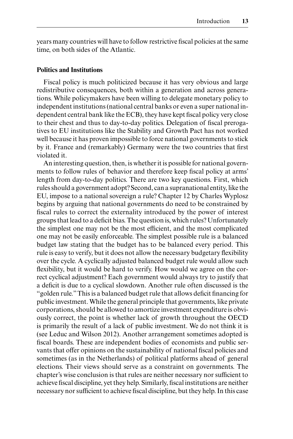years many countries will have to follow restrictive fiscal policies at the same time, on both sides of the Atlantic.

#### **Politics and Institutions**

Fiscal policy is much politicized because it has very obvious and large redistributive consequences, both within a generation and across generations. While policymakers have been willing to delegate monetary policy to independent institutions (national central banks or even a super national independent central bank like the ECB), they have kept fiscal policy very close to their chest and thus to day-to-day politics. Delegation of fiscal prerogatives to EU institutions like the Stability and Growth Pact has not worked well because it has proven impossible to force national governments to stick by it. France and (remarkably) Germany were the two countries that first violated it.

An interesting question, then, is whether it is possible for national governments to follow rules of behavior and therefore keep fiscal policy at arms' length from day-to-day politics. There are two key questions. First, which rules should a government adopt? Second, can a supranational entity, like the EU, impose to a national sovereign a rule? Chapter 12 by Charles Wyplosz begins by arguing that national governments do need to be constrained by fiscal rules to correct the externality introduced by the power of interest groups that lead to a deficit bias. The question is, which rules? Unfortunately the simplest one may not be the most efficient, and the most complicated one may not be easily enforceable. The simplest possible rule is a balanced budget law stating that the budget has to be balanced every period. This rule is easy to verify, but it does not allow the necessary budgetary flexibility over the cycle. A cyclically adjusted balanced budget rule would allow such flexibility, but it would be hard to verify. How would we agree on the correct cyclical adjustment? Each government would always try to justify that a deficit is due to a cyclical slowdown. Another rule often discussed is the "golden rule." This is a balanced budget rule that allows deficit financing for public investment. While the general principle that governments, like private corporations, should be allowed to amortize investment expenditure is obviously correct, the point is whether lack of growth throughout the OECD is primarily the result of a lack of public investment. We do not think it is (see Leduc and Wilson 2012). Another arrangement sometimes adopted is fiscal boards. These are independent bodies of economists and public servants that offer opinions on the sustainability of national fiscal policies and sometimes (as in the Netherlands) of political platforms ahead of general elections. Their views should serve as a constraint on governments. The chapter's wise conclusion is that rules are neither necessary nor sufficient to achieve fiscal discipline, yet they help. Similarly, fiscal institutions are neither necessary nor sufficient to achieve fiscal discipline, but they help. In this case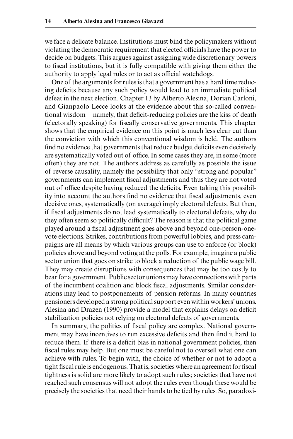we face a delicate balance. Institutions must bind the policymakers without violating the democratic requirement that elected officials have the power to decide on budgets. This argues against assigning wide discretionary powers to fiscal institutions, but it is fully compatible with giving them either the authority to apply legal rules or to act as official watchdogs.

One of the arguments for rules is that a government has a hard time reducing deficits because any such policy would lead to an immediate political defeat in the next election. Chapter 13 by Alberto Alesina, Dorian Carloni, and Gianpaolo Lecce looks at the evidence about this so-called conventional wisdom—namely, that deficit-reducing policies are the kiss of death (electorally speaking) for fiscally conservative governments. This chapter shows that the empirical evidence on this point is much less clear cut than the conviction with which this conventional wisdom is held. The authors find no evidence that governments that reduce budget deficits even decisively are systematically voted out of office. In some cases they are, in some (more often) they are not. The authors address as carefully as possible the issue of reverse causality, namely the possibility that only "strong and popular" governments can implement fiscal adjustments and thus they are not voted out of office despite having reduced the deficits. Even taking this possibility into account the authors find no evidence that fiscal adjustments, even decisive ones, systematically (on average) imply electoral defeats. But then, if fiscal adjustments do not lead systematically to electoral defeats, why do they often seem so politically difficult? The reason is that the political game played around a fiscal adjustment goes above and beyond one-person-onevote elections. Strikes, contributions from powerful lobbies, and press campaigns are all means by which various groups can use to enforce (or block) policies above and beyond voting at the polls. For example, imagine a public sector union that goes on strike to block a reduction of the public wage bill. They may create disruptions with consequences that may be too costly to bear for a government. Public sector unions may have connections with parts of the incumbent coalition and block fiscal adjustments. Similar considerations may lead to postponements of pension reforms. In many countries pensioners developed a strong political support even within workers' unions. Alesina and Drazen (1990) provide a model that explains delays on deficit stabilization policies not relying on electoral defeats of governments.

In summary, the politics of fiscal policy are complex. National government may have incentives to run excessive deficits and then find it hard to reduce them. If there is a deficit bias in national government policies, then fiscal rules may help. But one must be careful not to oversell what one can achieve with rules. To begin with, the choice of whether or not to adopt a tight fiscal rule is endogenous. That is, societies where an agreement for fiscal tightness is solid are more likely to adopt such rules; societies that have not reached such consensus will not adopt the rules even though these would be precisely the societies that need their hands to be tied by rules. So, paradoxi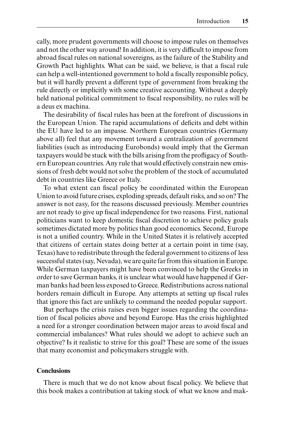cally, more prudent governments will choose to impose rules on themselves and not the other way around! In addition, it is very difficult to impose from abroad fiscal rules on national sovereigns, as the failure of the Stability and Growth Pact highlights. What can be said, we believe, is that a fiscal rule can help a well-intentioned government to hold a fiscally responsible policy, but it will hardly prevent a different type of government from breaking the rule directly or implicitly with some creative accounting. Without a deeply held national political commitment to fiscal responsibility, no rules will be a deus ex machina.

The desirability of fiscal rules has been at the forefront of discussions in the European Union. The rapid accumulations of deficits and debt within the EU have led to an impasse. Northern European countries (Germany above all) feel that any movement toward a centralization of government liabilities (such as introducing Eurobonds) would imply that the German taxpayers would be stuck with the bills arising from the profligacy of Southern European countries. Any rule that would effectively constrain new emissions of fresh debt would not solve the problem of the stock of accumulated debt in countries like Greece or Italy.

To what extent can fiscal policy be coordinated within the European Union to avoid future crises, exploding spreads, default risks, and so on? The answer is not easy, for the reasons discussed previously. Member countries are not ready to give up fiscal independence for two reasons. First, national politicians want to keep domestic fiscal discretion to achieve policy goals sometimes dictated more by politics than good economics. Second, Europe is not a unified country. While in the United States it is relatively accepted that citizens of certain states doing better at a certain point in time (say, Texas) have to redistribute through the federal government to citizens of less successful states (say, Nevada), we are quite far from this situation in Europe. While German taxpayers might have been convinced to help the Greeks in order to save German banks, it is unclear what would have happened if German banks had been less exposed to Greece. Redistributions across national borders remain difficult in Europe. Any attempts at setting up fiscal rules that ignore this fact are unlikely to command the needed popular support.

But perhaps the crisis raises even bigger issues regarding the coordination of fiscal policies above and beyond Europe. Has the crisis highlighted a need for a stronger coordination between major areas to avoid fiscal and commercial imbalances? What rules should we adopt to achieve such an objective? Is it realistic to strive for this goal? These are some of the issues that many economist and policymakers struggle with.

#### **Conclusions**

There is much that we do not know about fiscal policy. We believe that this book makes a contribution at taking stock of what we know and mak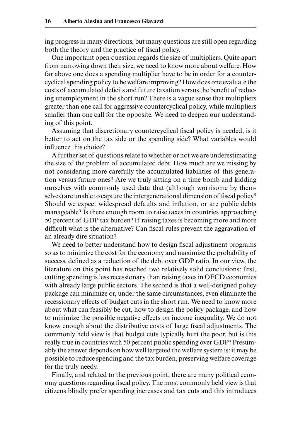ing progress in many directions, but many questions are still open regarding both the theory and the practice of fiscal policy.

One important open question regards the size of multipliers. Quite apart from narrowing down their size, we need to know more about welfare. How far above one does a spending multiplier have to be in order for a countercyclical spending policy to be welfare improving? How does one evaluate the costs of accumulated deficits and future taxation versus the benefit of reducing unemployment in the short run? There is a vague sense that multipliers greater than one call for aggressive countercyclical policy, while multipliers smaller than one call for the opposite. We need to deepen our understanding of this point.

Assuming that discretionary countercyclical fiscal policy is needed, is it better to act on the tax side or the spending side? What variables would influence this choice?

A further set of questions relate to whether or not we are underestimating the size of the problem of accumulated debt. How much are we missing by not considering more carefully the accumulated liabilities of this generation versus future ones? Are we truly sitting on a time bomb and kidding ourselves with commonly used data that (although worrisome by themselves) are unable to capture the intergenerational dimension of fiscal policy? Should we expect widespread defaults and inflation, or are public debts manageable? Is there enough room to raise taxes in countries approaching 50 percent of GDP tax burden? If raising taxes is becoming more and more difficult what is the alternative? Can fiscal rules prevent the aggravation of an already dire situation?

We need to better understand how to design fiscal adjustment programs so as to minimize the cost for the economy and maximize the probability of success, defined as a reduction of the debt over GDP ratio. In our view, the literature on this point has reached two relatively solid conclusions: first, cutting spending is less recessionary than raising taxes in OECD economies with already large public sectors. The second is that a well-designed policy package can minimize or, under the same circumstances, even eliminate the recessionary effects of budget cuts in the short run. We need to know more about what can feasibly be cut, how to design the policy package, and how to minimize the possible negative effects on income inequality. We do not know enough about the distributive costs of large fiscal adjustments. The commonly held view is that budget cuts typically hurt the poor, but is this really true in countries with 50 percent public spending over GDP? Presumably the answer depends on how well targeted the welfare system is: it may be possible to reduce spending and the tax burden, preserving welfare coverage for the truly needy.

Finally, and related to the previous point, there are many political economy questions regarding fiscal policy. The most commonly held view is that citizens blindly prefer spending increases and tax cuts and this introduces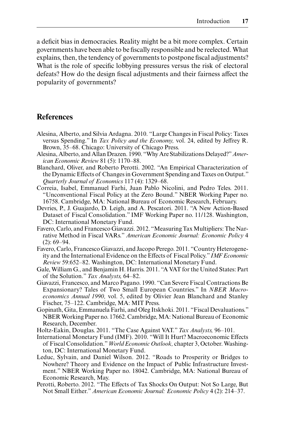a deficit bias in democracies. Reality might be a bit more complex. Certain governments have been able to be fiscally responsible and be reelected. What explains, then, the tendency of governments to postpone fiscal adjustments? What is the role of specific lobbying pressures versus the risk of electoral defeats? How do the design fiscal adjustments and their fairness affect the popularity of governments?

# **References**

- Alesina, Alberto, and Silvia Ardagna. 2010. "Large Changes in Fiscal Policy: Taxes versus Spending." In *Tax Policy and the Economy,* vol. 24, edited by Jeffrey R. Brown, 35–68. Chicago: University of Chicago Press.
- Alesina, Alberto, and Allan Drazen. 1990. "Why Are Stabilizations Delayed?" *American Economic Review* 81 (5): 1170–88.
- Blanchard, Oliver, and Roberto Perotti. 2002. "An Empirical Characterization of the Dynamic Effects of Changes in Government Spending and Taxes on Output." *Quarterly Journal of Economics* 117 (4): 1329–68.
- Correia, Isabel, Emmanuel Farhi, Juan Pablo Nicolini, and Pedro Teles. 2011. "Unconventional Fiscal Policy at the Zero Bound." NBER Working Paper no. 16758. Cambridge, MA: National Bureau of Economic Research, February.
- Devries, P., J. Guajardo, D. Leigh, and A. Pescatori. 2011. "A New Action-Based Dataset of Fiscal Consolidation." IMF Working Paper no. 11/128. Washington, DC: International Monetary Fund.
- Favero, Carlo, and Francesco Giavazzi. 2012. "Measuring Tax Multipliers: The Narrative Method in Fiscal VARs." *American Economic Journal: Economic Policy* 4  $(2): 69 - 94.$
- Favero, Carlo, Francesco Giavazzi, and Jacopo Perego. 2011. "Country Heterogeneity and the International Evidence on the Effects of Fiscal Policy." *IMF Economic Review* 59:652–82. Washington, DC: International Monetary Fund.
- Gale, William G., and Benjamin H. Harris. 2011. "A VAT for the United States: Part of the Solution." *Tax Analysts,* 64–82.
- Giavazzi, Francesco, and Marco Pagano. 1990. "Can Severe Fiscal Contractions Be Expansionary? Tales of Two Small European Countries." In *NBER Macroeconomics Annual 1990,* vol. 5, edited by Olivier Jean Blanchard and Stanley Fischer, 75–122. Cambridge, MA: MIT Press.
- Gopinath, Gita, Emmanuela Farhi, and Oleg Itskhoki. 2011. "Fiscal Devaluations." NBER Working Paper no. 17662. Cambridge, MA: National Bureau of Economic Research, December.
- Holtz- Eakin, Douglas. 2011. "The Case Against VAT." *Tax Analysts,* 96–101.
- International Monetary Fund (IMF). 2010. "Will It Hurt? Macroeconomic Effects of Fiscal Consolidation." *World Economic Outlook,* chapter 3, October. Washington, DC: International Monetary Fund.
- Leduc, Sylvain, and Daniel Wilson. 2012. "Roads to Prosperity or Bridges to Nowhere? Theory and Evidence on the Impact of Public Infrastructure Investment." NBER Working Paper no. 18042. Cambridge, MA: National Bureau of Economic Research, May.
- Perotti, Roberto. 2012. "The Effects of Tax Shocks On Output: Not So Large, But Not Small Either." *American Economic Journal: Economic Policy* 4 (2): 214–37.